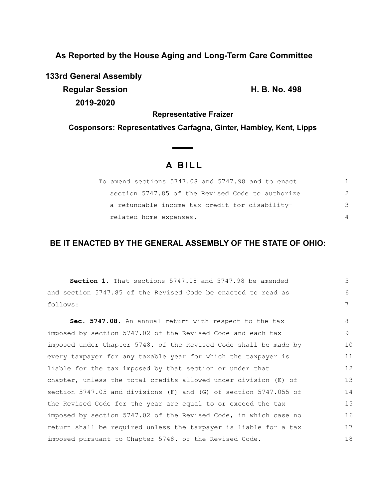**As Reported by the House Aging and Long-Term Care Committee**

**133rd General Assembly**

**Regular Session H. B. No. 498 2019-2020**

**Representative Fraizer**

**Cosponsors: Representatives Carfagna, Ginter, Hambley, Kent, Lipps**

# **A B I L L**

| To amend sections 5747.08 and 5747.98 and to enact |               |
|----------------------------------------------------|---------------|
| section 5747.85 of the Revised Code to authorize   | $\mathcal{P}$ |
| a refundable income tax credit for disability-     | 3             |
| related home expenses.                             | 4             |

# **BE IT ENACTED BY THE GENERAL ASSEMBLY OF THE STATE OF OHIO:**

**Section 1.** That sections 5747.08 and 5747.98 be amended and section 5747.85 of the Revised Code be enacted to read as follows: **Sec. 5747.08.** An annual return with respect to the tax imposed by section 5747.02 of the Revised Code and each tax imposed under Chapter 5748. of the Revised Code shall be made by every taxpayer for any taxable year for which the taxpayer is liable for the tax imposed by that section or under that chapter, unless the total credits allowed under division (E) of section 5747.05 and divisions (F) and (G) of section 5747.055 of the Revised Code for the year are equal to or exceed the tax imposed by section 5747.02 of the Revised Code, in which case no return shall be required unless the taxpayer is liable for a tax imposed pursuant to Chapter 5748. of the Revised Code. 5 6 7 8 9 10 11 12 13 14 15 16 17 18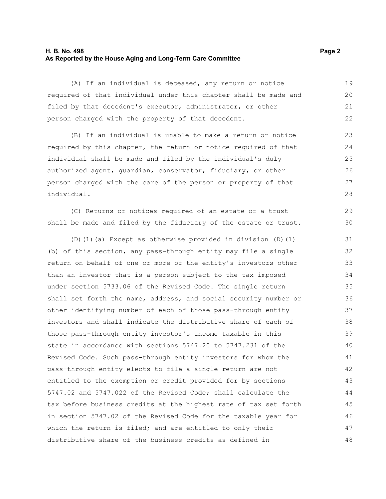## **H. B. No. 498 Page 2 As Reported by the House Aging and Long-Term Care Committee**

(A) If an individual is deceased, any return or notice required of that individual under this chapter shall be made and filed by that decedent's executor, administrator, or other person charged with the property of that decedent. 19 20 21 22

(B) If an individual is unable to make a return or notice required by this chapter, the return or notice required of that individual shall be made and filed by the individual's duly authorized agent, guardian, conservator, fiduciary, or other person charged with the care of the person or property of that individual.

(C) Returns or notices required of an estate or a trust shall be made and filed by the fiduciary of the estate or trust.

(D)(1)(a) Except as otherwise provided in division (D)(1) (b) of this section, any pass-through entity may file a single return on behalf of one or more of the entity's investors other than an investor that is a person subject to the tax imposed under section 5733.06 of the Revised Code. The single return shall set forth the name, address, and social security number or other identifying number of each of those pass-through entity investors and shall indicate the distributive share of each of those pass-through entity investor's income taxable in this state in accordance with sections 5747.20 to 5747.231 of the Revised Code. Such pass-through entity investors for whom the pass-through entity elects to file a single return are not entitled to the exemption or credit provided for by sections 5747.02 and 5747.022 of the Revised Code; shall calculate the tax before business credits at the highest rate of tax set forth in section 5747.02 of the Revised Code for the taxable year for which the return is filed; and are entitled to only their distributive share of the business credits as defined in 31 32 33 34 35 36 37 38 39 40 41 42 43 44 45 46 47 48

29 30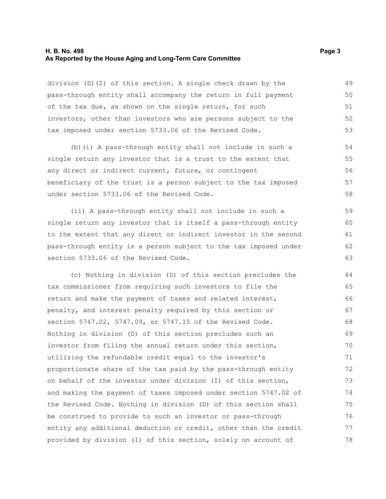#### **H. B. No. 498 Page 3 As Reported by the House Aging and Long-Term Care Committee**

division (D)(2) of this section. A single check drawn by the pass-through entity shall accompany the return in full payment of the tax due, as shown on the single return, for such investors, other than investors who are persons subject to the tax imposed under section 5733.06 of the Revised Code. 49 50 51 52 53

(b)(i) A pass-through entity shall not include in such a single return any investor that is a trust to the extent that any direct or indirect current, future, or contingent beneficiary of the trust is a person subject to the tax imposed under section 5733.06 of the Revised Code.

(ii) A pass-through entity shall not include in such a single return any investor that is itself a pass-through entity to the extent that any direct or indirect investor in the second pass-through entity is a person subject to the tax imposed under section 5733.06 of the Revised Code.

(c) Nothing in division (D) of this section precludes the tax commissioner from requiring such investors to file the return and make the payment of taxes and related interest, penalty, and interest penalty required by this section or section 5747.02, 5747.09, or 5747.15 of the Revised Code. Nothing in division (D) of this section precludes such an investor from filing the annual return under this section, utilizing the refundable credit equal to the investor's proportionate share of the tax paid by the pass-through entity on behalf of the investor under division (I) of this section, and making the payment of taxes imposed under section 5747.02 of the Revised Code. Nothing in division (D) of this section shall be construed to provide to such an investor or pass-through entity any additional deduction or credit, other than the credit provided by division (I) of this section, solely on account of 64 65 66 67 68 69 70 71 72 73 74 75 76 77 78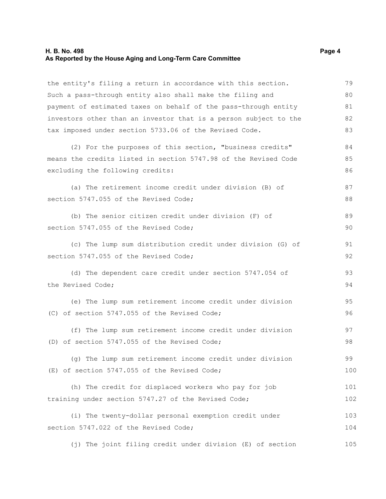#### **H. B. No. 498 Page 4 As Reported by the House Aging and Long-Term Care Committee**

the entity's filing a return in accordance with this section. Such a pass-through entity also shall make the filing and payment of estimated taxes on behalf of the pass-through entity investors other than an investor that is a person subject to the tax imposed under section 5733.06 of the Revised Code. (2) For the purposes of this section, "business credits" means the credits listed in section 5747.98 of the Revised Code excluding the following credits: (a) The retirement income credit under division (B) of section 5747.055 of the Revised Code; (b) The senior citizen credit under division (F) of section 5747.055 of the Revised Code; (c) The lump sum distribution credit under division (G) of section 5747.055 of the Revised Code; (d) The dependent care credit under section 5747.054 of the Revised Code; (e) The lump sum retirement income credit under division (C) of section 5747.055 of the Revised Code; (f) The lump sum retirement income credit under division (D) of section 5747.055 of the Revised Code; (g) The lump sum retirement income credit under division (E) of section 5747.055 of the Revised Code; (h) The credit for displaced workers who pay for job training under section 5747.27 of the Revised Code; (i) The twenty-dollar personal exemption credit under section 5747.022 of the Revised Code; 79 80 81 82 83 84 85 86 87 88 89 90 91 92 93 94 95 96 97 98 99 100 101 102 103 104

(j) The joint filing credit under division (E) of section 105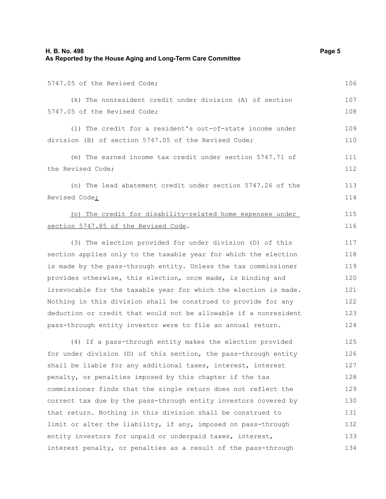| H. B. No. 498<br>As Reported by the House Aging and Long-Term Care Committee                                                       | Page 5     |
|------------------------------------------------------------------------------------------------------------------------------------|------------|
| 5747.05 of the Revised Code;                                                                                                       | 106        |
| (k) The nonresident credit under division (A) of section<br>5747.05 of the Revised Code;                                           | 107<br>108 |
| (1) The credit for a resident's out-of-state income under<br>division (B) of section 5747.05 of the Revised Code;                  | 109<br>110 |
| (m) The earned income tax credit under section 5747.71 of<br>the Revised Code;                                                     | 111<br>112 |
| (n) The lead abatement credit under section 5747.26 of the<br>Revised Code <sub>i</sub>                                            | 113<br>114 |
| (o) The credit for disability-related home expenses under<br>section 5747.85 of the Revised Code.                                  | 115<br>116 |
| (3) The election provided for under division (D) of this                                                                           | 117        |
| section applies only to the taxable year for which the election<br>is made by the pass-through entity. Unless the tax commissioner | 118<br>119 |
| provides otherwise, this election, once made, is binding and                                                                       | 120        |
| irrevocable for the taxable year for which the election is made.                                                                   | 121        |
| Nothing in this division shall be construed to provide for any                                                                     | 122        |
| deduction or credit that would not be allowable if a nonresident                                                                   | 123        |
| pass-through entity investor were to file an annual return.                                                                        | 124        |
| (4) If a pass-through entity makes the election provided                                                                           | 125        |
| for under division (D) of this section, the pass-through entity                                                                    | 126        |
| shall be liable for any additional taxes, interest, interest                                                                       | 127        |
| penalty, or penalties imposed by this chapter if the tax                                                                           | 128        |
| commissioner finds that the single return does not reflect the                                                                     | 129        |
| correct tax due by the pass-through entity investors covered by                                                                    | 130        |
| that return. Nothing in this division shall be construed to                                                                        | 131        |
| limit or alter the liability, if any, imposed on pass-through                                                                      | 132        |
| entity investors for unpaid or underpaid taxes, interest,                                                                          | 133        |
| interest penalty, or penalties as a result of the pass-through                                                                     | 134        |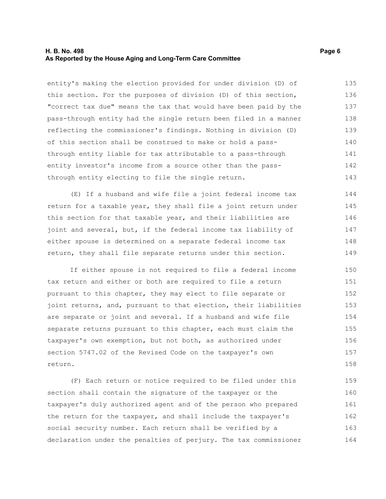## **H. B. No. 498 Page 6 As Reported by the House Aging and Long-Term Care Committee**

entity's making the election provided for under division (D) of this section. For the purposes of division (D) of this section, "correct tax due" means the tax that would have been paid by the pass-through entity had the single return been filed in a manner reflecting the commissioner's findings. Nothing in division (D) of this section shall be construed to make or hold a passthrough entity liable for tax attributable to a pass-through entity investor's income from a source other than the passthrough entity electing to file the single return. 135 136 137 138 139 140 141 142 143

(E) If a husband and wife file a joint federal income tax return for a taxable year, they shall file a joint return under this section for that taxable year, and their liabilities are joint and several, but, if the federal income tax liability of either spouse is determined on a separate federal income tax return, they shall file separate returns under this section. 144 145 146 147 148 149

If either spouse is not required to file a federal income tax return and either or both are required to file a return pursuant to this chapter, they may elect to file separate or joint returns, and, pursuant to that election, their liabilities are separate or joint and several. If a husband and wife file separate returns pursuant to this chapter, each must claim the taxpayer's own exemption, but not both, as authorized under section 5747.02 of the Revised Code on the taxpayer's own return. 150 151 152 153 154 155 156 157 158

(F) Each return or notice required to be filed under this section shall contain the signature of the taxpayer or the taxpayer's duly authorized agent and of the person who prepared the return for the taxpayer, and shall include the taxpayer's social security number. Each return shall be verified by a declaration under the penalties of perjury. The tax commissioner 159 160 161 162 163 164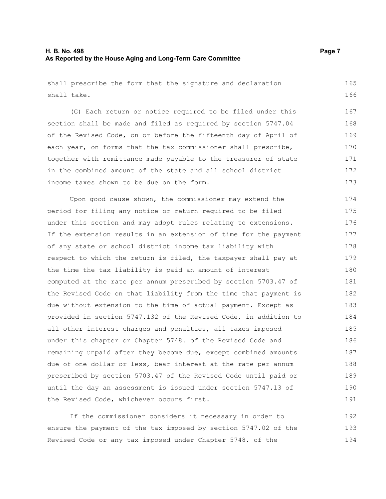## **H. B. No. 498 Page 7 As Reported by the House Aging and Long-Term Care Committee**

shall prescribe the form that the signature and declaration shall take. 165 166

(G) Each return or notice required to be filed under this section shall be made and filed as required by section 5747.04 of the Revised Code, on or before the fifteenth day of April of each year, on forms that the tax commissioner shall prescribe, together with remittance made payable to the treasurer of state in the combined amount of the state and all school district income taxes shown to be due on the form. 167 168 169 170 171 172 173

Upon good cause shown, the commissioner may extend the period for filing any notice or return required to be filed under this section and may adopt rules relating to extensions. If the extension results in an extension of time for the payment of any state or school district income tax liability with respect to which the return is filed, the taxpayer shall pay at the time the tax liability is paid an amount of interest computed at the rate per annum prescribed by section 5703.47 of the Revised Code on that liability from the time that payment is due without extension to the time of actual payment. Except as provided in section 5747.132 of the Revised Code, in addition to all other interest charges and penalties, all taxes imposed under this chapter or Chapter 5748. of the Revised Code and remaining unpaid after they become due, except combined amounts due of one dollar or less, bear interest at the rate per annum prescribed by section 5703.47 of the Revised Code until paid or until the day an assessment is issued under section 5747.13 of the Revised Code, whichever occurs first. 174 175 176 177 178 179 180 181 182 183 184 185 186 187 188 189 190 191

If the commissioner considers it necessary in order to ensure the payment of the tax imposed by section 5747.02 of the Revised Code or any tax imposed under Chapter 5748. of the 192 193 194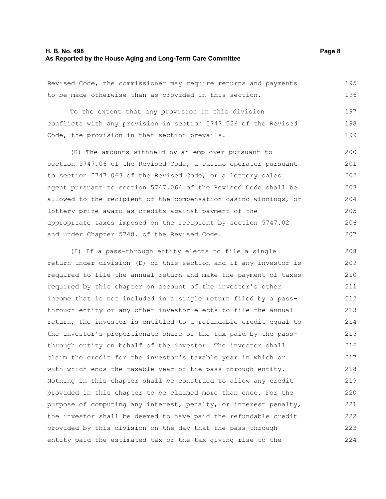#### **H. B. No. 498 Page 8 As Reported by the House Aging and Long-Term Care Committee**

Revised Code, the commissioner may require returns and payments to be made otherwise than as provided in this section. 195 196

To the extent that any provision in this division conflicts with any provision in section 5747.026 of the Revised Code, the provision in that section prevails. 197 198 199

(H) The amounts withheld by an employer pursuant to section 5747.06 of the Revised Code, a casino operator pursuant to section 5747.063 of the Revised Code, or a lottery sales agent pursuant to section 5747.064 of the Revised Code shall be allowed to the recipient of the compensation casino winnings, or lottery prize award as credits against payment of the appropriate taxes imposed on the recipient by section 5747.02 and under Chapter 5748. of the Revised Code. 200 201 202 203 204 205 206 207

(I) If a pass-through entity elects to file a single return under division (D) of this section and if any investor is required to file the annual return and make the payment of taxes required by this chapter on account of the investor's other income that is not included in a single return filed by a passthrough entity or any other investor elects to file the annual return, the investor is entitled to a refundable credit equal to the investor's proportionate share of the tax paid by the passthrough entity on behalf of the investor. The investor shall claim the credit for the investor's taxable year in which or with which ends the taxable year of the pass-through entity. Nothing in this chapter shall be construed to allow any credit provided in this chapter to be claimed more than once. For the purpose of computing any interest, penalty, or interest penalty, the investor shall be deemed to have paid the refundable credit provided by this division on the day that the pass-through entity paid the estimated tax or the tax giving rise to the 208 209 210 211 212 213 214 215 216 217 218 219 220 221 222 223 224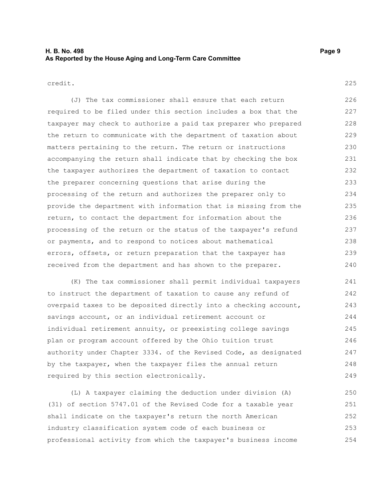# **H. B. No. 498 Page 9 As Reported by the House Aging and Long-Term Care Committee**

#### credit.

(J) The tax commissioner shall ensure that each return required to be filed under this section includes a box that the taxpayer may check to authorize a paid tax preparer who prepared the return to communicate with the department of taxation about matters pertaining to the return. The return or instructions accompanying the return shall indicate that by checking the box the taxpayer authorizes the department of taxation to contact the preparer concerning questions that arise during the processing of the return and authorizes the preparer only to provide the department with information that is missing from the return, to contact the department for information about the processing of the return or the status of the taxpayer's refund or payments, and to respond to notices about mathematical errors, offsets, or return preparation that the taxpayer has received from the department and has shown to the preparer. 226 227 228 229 230 231 232 233 234 235 236 237 238 239 240

(K) The tax commissioner shall permit individual taxpayers to instruct the department of taxation to cause any refund of overpaid taxes to be deposited directly into a checking account, savings account, or an individual retirement account or individual retirement annuity, or preexisting college savings plan or program account offered by the Ohio tuition trust authority under Chapter 3334. of the Revised Code, as designated by the taxpayer, when the taxpayer files the annual return required by this section electronically. 241 242 243 244 245 246 247 248 249

(L) A taxpayer claiming the deduction under division (A) (31) of section 5747.01 of the Revised Code for a taxable year shall indicate on the taxpayer's return the north American industry classification system code of each business or professional activity from which the taxpayer's business income 250 251 252 253 254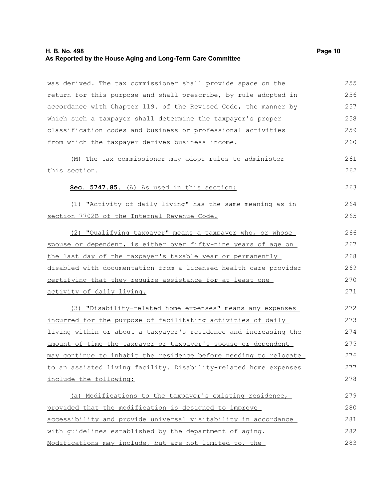## **H. B. No. 498 Page 10 As Reported by the House Aging and Long-Term Care Committee**

was derived. The tax commissioner shall provide space on the return for this purpose and shall prescribe, by rule adopted in accordance with Chapter 119. of the Revised Code, the manner by which such a taxpayer shall determine the taxpayer's proper classification codes and business or professional activities from which the taxpayer derives business income.

(M) The tax commissioner may adopt rules to administer this section.

#### **Sec. 5747.85.** (A) As used in this section:

(1) "Activity of daily living" has the same meaning as in section 7702B of the Internal Revenue Code.

(2) "Qualifying taxpayer" means a taxpayer who, or whose spouse or dependent, is either over fifty-nine years of age on the last day of the taxpayer's taxable year or permanently disabled with documentation from a licensed health care provider certifying that they require assistance for at least one activity of daily living.

(3) "Disability-related home expenses" means any expenses incurred for the purpose of facilitating activities of daily living within or about a taxpayer's residence and increasing the amount of time the taxpayer or taxpayer's spouse or dependent may continue to inhabit the residence before needing to relocate to an assisted living facility. Disability-related home expenses include the following: 272 273 274 275 276 277 278

(a) Modifications to the taxpayer's existing residence, provided that the modification is designed to improve accessibility and provide universal visitability in accordance with guidelines established by the department of aging. Modifications may include, but are not limited to, the 279 280 281 282 283

261 262

263

264 265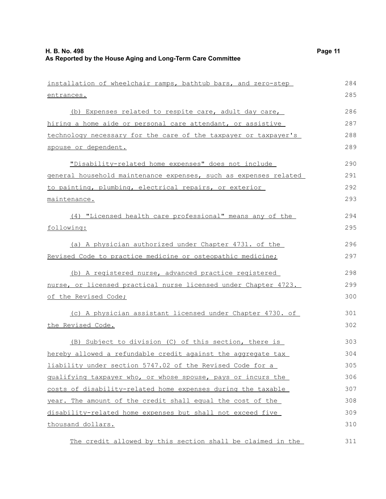| installation of wheelchair ramps, bathtub bars, and zero-step    | 284 |
|------------------------------------------------------------------|-----|
| entrances.                                                       | 285 |
| (b) Expenses related to respite care, adult day care,            | 286 |
| hiring a home aide or personal care attendant, or assistive      | 287 |
| technology necessary for the care of the taxpayer or taxpayer's  | 288 |
| spouse or dependent.                                             | 289 |
| "Disability-related home expenses" does not include              | 290 |
| general household maintenance expenses, such as expenses related | 291 |
| to painting, plumbing, electrical repairs, or exterior           | 292 |
| maintenance.                                                     | 293 |
| (4) "Licensed health care professional" means any of the         | 294 |
| following:                                                       | 295 |
| (a) A physician authorized under Chapter 4731. of the            | 296 |
| Revised Code to practice medicine or osteopathic medicine;       | 297 |
| (b) A registered nurse, advanced practice registered             | 298 |
| nurse, or licensed practical nurse licensed under Chapter 4723.  | 299 |
| <u>of the Revised Code;</u>                                      | 300 |
| (c) A physician assistant licensed under Chapter 4730. of        | 301 |
| the Revised Code.                                                | 302 |
| (B) Subject to division (C) of this section, there is            | 303 |
| hereby allowed a refundable credit against the aggregate tax     | 304 |
| liability under section 5747.02 of the Revised Code for a        | 305 |
| qualifying taxpayer who, or whose spouse, pays or incurs the     | 306 |
| costs of disability-related home expenses during the taxable     | 307 |
| year. The amount of the credit shall equal the cost of the       | 308 |
| disability-related home expenses but shall not exceed five       | 309 |
| thousand dollars.                                                | 310 |

The credit allowed by this section shall be claimed in the 311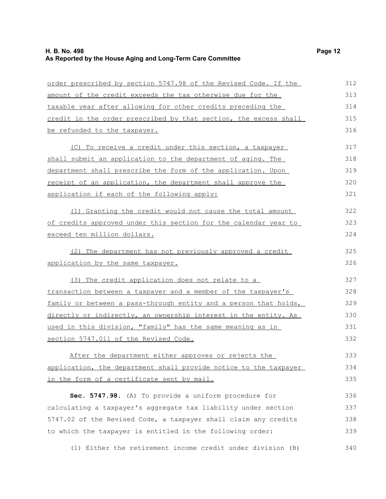| <u>order prescribed by section 5747.98 of the Revised Code. If the </u> | 312 |
|-------------------------------------------------------------------------|-----|
| <u>amount of the credit exceeds the tax otherwise due for the </u>      | 313 |
| taxable year after allowing for other credits preceding the             | 314 |
| credit in the order prescribed by that section, the excess shall        | 315 |
| <u>be refunded to the taxpayer.</u>                                     | 316 |
| (C) To receive a credit under this section, a taxpayer                  | 317 |
| shall submit an application to the department of aging. The             | 318 |
| <u>department shall prescribe the form of the application. Upon </u>    | 319 |
| receipt of an application, the department shall approve the             | 320 |
| application if each of the following apply:                             | 321 |
| (1) Granting the credit would not cause the total amount                | 322 |
| of credits approved under this section for the calendar year to         | 323 |
| exceed ten million dollars.                                             | 324 |
| (2) The department has not previously approved a credit                 | 325 |
| application by the same taxpayer.                                       | 326 |
| (3) The credit application does not relate to a                         | 327 |
| transaction between a taxpayer and a member of the taxpayer's           | 328 |
| family or between a pass-through entity and a person that holds,        | 329 |
| directly or indirectly, an ownership interest in the entity. As         | 330 |
| <u>used in this division, "family" has the same meaning as in </u>      | 331 |
| section 5747.011 of the Revised Code.                                   | 332 |
| After the department either approves or rejects the                     | 333 |
| application, the department shall provide notice to the taxpayer        | 334 |
| in the form of a certificate sent by mail.                              | 335 |
| Sec. 5747.98. (A) To provide a uniform procedure for                    | 336 |
| calculating a taxpayer's aggregate tax liability under section          | 337 |
| 5747.02 of the Revised Code, a taxpayer shall claim any credits         | 338 |
| to which the taxpayer is entitled in the following order:               | 339 |
| (1) Either the retirement income credit under division (B)              | 340 |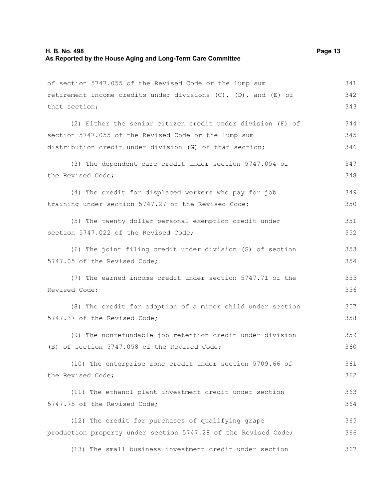| of section 5747.055 of the Revised Code or the lump sum                | 341 |
|------------------------------------------------------------------------|-----|
| retirement income credits under divisions $(C)$ , $(D)$ , and $(E)$ of | 342 |
| that section;                                                          | 343 |
|                                                                        |     |
| (2) Either the senior citizen credit under division (F) of             | 344 |
| section 5747.055 of the Revised Code or the lump sum                   | 345 |
| distribution credit under division (G) of that section;                | 346 |
| (3) The dependent care credit under section 5747.054 of                | 347 |
| the Revised Code;                                                      | 348 |
| (4) The credit for displaced workers who pay for job                   | 349 |
| training under section 5747.27 of the Revised Code;                    | 350 |
| (5) The twenty-dollar personal exemption credit under                  | 351 |
| section 5747.022 of the Revised Code;                                  | 352 |
| (6) The joint filing credit under division (G) of section              | 353 |
| 5747.05 of the Revised Code;                                           | 354 |
| (7) The earned income credit under section 5747.71 of the              | 355 |
| Revised Code;                                                          | 356 |
| (8) The credit for adoption of a minor child under section             | 357 |
| 5747.37 of the Revised Code;                                           | 358 |
| (9) The nonrefundable job retention credit under division              | 359 |
| (B) of section 5747.058 of the Revised Code;                           | 360 |
| (10) The enterprise zone credit under section 5709.66 of               | 361 |
| the Revised Code;                                                      | 362 |
| (11) The ethanol plant investment credit under section                 | 363 |
| 5747.75 of the Revised Code;                                           | 364 |
| (12) The credit for purchases of qualifying grape                      | 365 |
| production property under section 5747.28 of the Revised Code;         | 366 |
| (13) The small business investment credit under section                | 367 |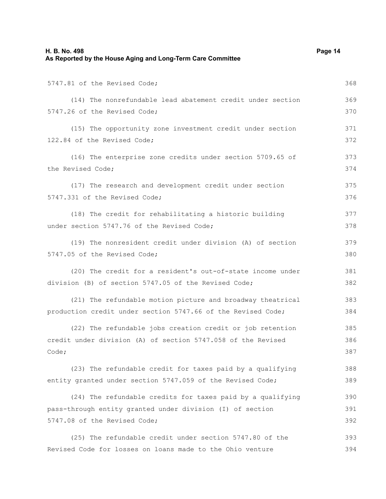| H. B. No. 498<br>As Reported by the House Aging and Long-Term Care Committee | Page 14 |
|------------------------------------------------------------------------------|---------|
| 5747.81 of the Revised Code;                                                 | 368     |
| (14) The nonrefundable lead abatement credit under section                   | 369     |
| 5747.26 of the Revised Code;                                                 | 370     |
| (15) The opportunity zone investment credit under section                    | 371     |
| 122.84 of the Revised Code;                                                  | 372     |
| (16) The enterprise zone credits under section 5709.65 of                    | 373     |
| the Revised Code;                                                            | 374     |
| (17) The research and development credit under section                       | 375     |
| 5747.331 of the Revised Code;                                                | 376     |
| (18) The credit for rehabilitating a historic building                       | 377     |
| under section 5747.76 of the Revised Code;                                   | 378     |
| (19) The nonresident credit under division (A) of section                    | 379     |
| 5747.05 of the Revised Code;                                                 | 380     |
| (20) The credit for a resident's out-of-state income under                   | 381     |
| division (B) of section 5747.05 of the Revised Code;                         | 382     |
| (21) The refundable motion picture and broadway theatrical                   | 383     |
| production credit under section 5747.66 of the Revised Code;                 | 384     |
| (22) The refundable jobs creation credit or job retention                    | 385     |
| credit under division (A) of section 5747.058 of the Revised                 | 386     |
| Code;                                                                        | 387     |
| (23) The refundable credit for taxes paid by a qualifying                    | 388     |
| entity granted under section 5747.059 of the Revised Code;                   | 389     |
| (24) The refundable credits for taxes paid by a qualifying                   | 390     |
| pass-through entity granted under division (I) of section                    | 391     |
| 5747.08 of the Revised Code;                                                 | 392     |
| (25) The refundable credit under section 5747.80 of the                      | 393     |
| Revised Code for losses on loans made to the Ohio venture                    | 394     |